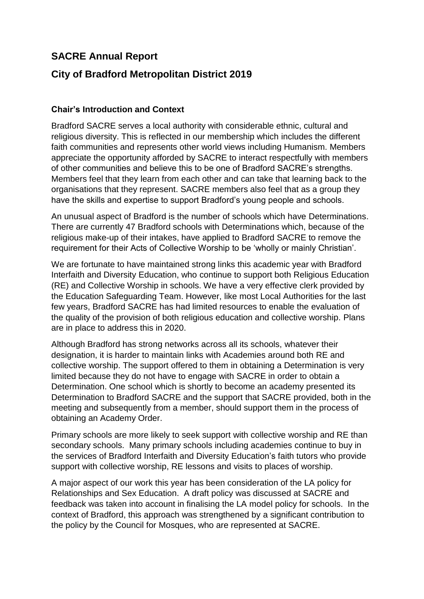# **SACRE Annual Report**

# **City of Bradford Metropolitan District 2019**

## **Chair's Introduction and Context**

Bradford SACRE serves a local authority with considerable ethnic, cultural and religious diversity. This is reflected in our membership which includes the different faith communities and represents other world views including Humanism. Members appreciate the opportunity afforded by SACRE to interact respectfully with members of other communities and believe this to be one of Bradford SACRE's strengths. Members feel that they learn from each other and can take that learning back to the organisations that they represent. SACRE members also feel that as a group they have the skills and expertise to support Bradford's young people and schools.

An unusual aspect of Bradford is the number of schools which have Determinations. There are currently 47 Bradford schools with Determinations which, because of the religious make-up of their intakes, have applied to Bradford SACRE to remove the requirement for their Acts of Collective Worship to be 'wholly or mainly Christian'.

We are fortunate to have maintained strong links this academic year with Bradford Interfaith and Diversity Education, who continue to support both Religious Education (RE) and Collective Worship in schools. We have a very effective clerk provided by the Education Safeguarding Team. However, like most Local Authorities for the last few years, Bradford SACRE has had limited resources to enable the evaluation of the quality of the provision of both religious education and collective worship. Plans are in place to address this in 2020.

Although Bradford has strong networks across all its schools, whatever their designation, it is harder to maintain links with Academies around both RE and collective worship. The support offered to them in obtaining a Determination is very limited because they do not have to engage with SACRE in order to obtain a Determination. One school which is shortly to become an academy presented its Determination to Bradford SACRE and the support that SACRE provided, both in the meeting and subsequently from a member, should support them in the process of obtaining an Academy Order.

Primary schools are more likely to seek support with collective worship and RE than secondary schools. Many primary schools including academies continue to buy in the services of Bradford Interfaith and Diversity Education's faith tutors who provide support with collective worship, RE lessons and visits to places of worship.

A major aspect of our work this year has been consideration of the LA policy for Relationships and Sex Education. A draft policy was discussed at SACRE and feedback was taken into account in finalising the LA model policy for schools. In the context of Bradford, this approach was strengthened by a significant contribution to the policy by the Council for Mosques, who are represented at SACRE.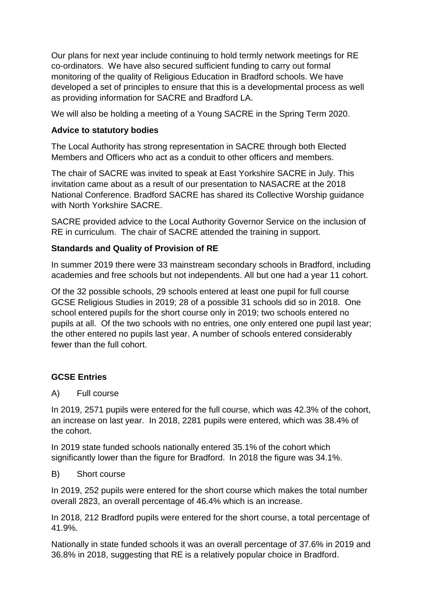Our plans for next year include continuing to hold termly network meetings for RE co-ordinators. We have also secured sufficient funding to carry out formal monitoring of the quality of Religious Education in Bradford schools. We have developed a set of principles to ensure that this is a developmental process as well as providing information for SACRE and Bradford LA.

We will also be holding a meeting of a Young SACRE in the Spring Term 2020.

# **Advice to statutory bodies**

The Local Authority has strong representation in SACRE through both Elected Members and Officers who act as a conduit to other officers and members.

The chair of SACRE was invited to speak at East Yorkshire SACRE in July. This invitation came about as a result of our presentation to NASACRE at the 2018 National Conference. Bradford SACRE has shared its Collective Worship guidance with North Yorkshire SACRE.

SACRE provided advice to the Local Authority Governor Service on the inclusion of RE in curriculum. The chair of SACRE attended the training in support.

# **Standards and Quality of Provision of RE**

In summer 2019 there were 33 mainstream secondary schools in Bradford, including academies and free schools but not independents. All but one had a year 11 cohort.

Of the 32 possible schools, 29 schools entered at least one pupil for full course GCSE Religious Studies in 2019; 28 of a possible 31 schools did so in 2018. One school entered pupils for the short course only in 2019; two schools entered no pupils at all. Of the two schools with no entries, one only entered one pupil last year; the other entered no pupils last year. A number of schools entered considerably fewer than the full cohort.

# **GCSE Entries**

A) Full course

In 2019, 2571 pupils were entered for the full course, which was 42.3% of the cohort, an increase on last year. In 2018, 2281 pupils were entered, which was 38.4% of the cohort.

In 2019 state funded schools nationally entered 35.1% of the cohort which significantly lower than the figure for Bradford. In 2018 the figure was 34.1%.

## B) Short course

In 2019, 252 pupils were entered for the short course which makes the total number overall 2823, an overall percentage of 46.4% which is an increase.

In 2018, 212 Bradford pupils were entered for the short course, a total percentage of 41.9%.

Nationally in state funded schools it was an overall percentage of 37.6% in 2019 and 36.8% in 2018, suggesting that RE is a relatively popular choice in Bradford.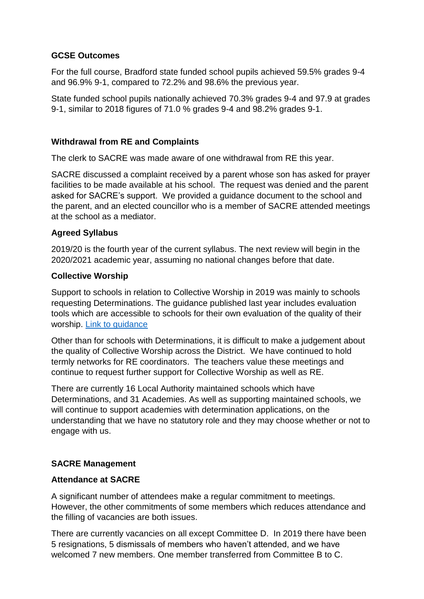## **GCSE Outcomes**

For the full course, Bradford state funded school pupils achieved 59.5% grades 9-4 and 96.9% 9-1, compared to 72.2% and 98.6% the previous year.

State funded school pupils nationally achieved 70.3% grades 9-4 and 97.9 at grades 9-1, similar to 2018 figures of 71.0 % grades 9-4 and 98.2% grades 9-1.

### **Withdrawal from RE and Complaints**

The clerk to SACRE was made aware of one withdrawal from RE this year.

SACRE discussed a complaint received by a parent whose son has asked for prayer facilities to be made available at his school. The request was denied and the parent asked for SACRE's support. We provided a guidance document to the school and the parent, and an elected councillor who is a member of SACRE attended meetings at the school as a mediator.

### **Agreed Syllabus**

2019/20 is the fourth year of the current syllabus. The next review will begin in the 2020/2021 academic year, assuming no national changes before that date.

### **Collective Worship**

Support to schools in relation to Collective Worship in 2019 was mainly to schools requesting Determinations. The guidance published last year includes evaluation tools which are accessible to schools for their own evaluation of the quality of their worship. [Link to guidance](file://bradford.gov.uk/datavault/cyp/ES/Diversity_and_Cohesion/SACRE/Policies/Collective%20Worship%20Model%20Policy%20June%2018.doc)

Other than for schools with Determinations, it is difficult to make a judgement about the quality of Collective Worship across the District. We have continued to hold termly networks for RE coordinators. The teachers value these meetings and continue to request further support for Collective Worship as well as RE.

There are currently 16 Local Authority maintained schools which have Determinations, and 31 Academies. As well as supporting maintained schools, we will continue to support academies with determination applications, on the understanding that we have no statutory role and they may choose whether or not to engage with us.

## **SACRE Management**

#### **Attendance at SACRE**

A significant number of attendees make a regular commitment to meetings. However, the other commitments of some members which reduces attendance and the filling of vacancies are both issues.

There are currently vacancies on all except Committee D. In 2019 there have been 5 resignations, 5 dismissals of members who haven't attended, and we have welcomed 7 new members. One member transferred from Committee B to C.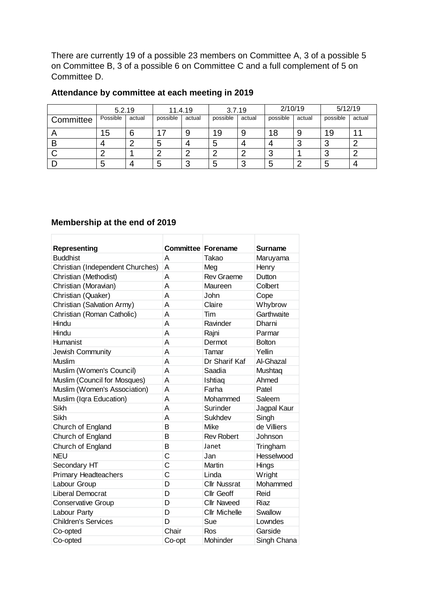There are currently 19 of a possible 23 members on Committee A, 3 of a possible 5 on Committee B, 3 of a possible 6 on Committee C and a full complement of 5 on Committee D.

# **Attendance by committee at each meeting in 2019**

|           | 5.2.19   |        | 11.4.19  |        | 3.7.19   |        | 2/10/19  |        | 5/12/19  |        |
|-----------|----------|--------|----------|--------|----------|--------|----------|--------|----------|--------|
| Committee | Possible | actual | possible | actual | possible | actual | possible | actual | possible | actual |
|           | 15       |        | 17       |        | 19       | 9      | 18       |        | 19       |        |
| В         | 4        |        |          |        | 5        |        |          |        |          |        |
|           |          |        |          |        |          | C      | ◡        |        |          |        |
|           | 5        |        |          | ⌒      | 5        | ◠<br>P | C        |        |          |        |

## **Membership at the end of 2019**

| Representing<br><b>Buddhist</b>  | <b>Committee Forename</b><br>A | Takao                | <b>Surname</b> |
|----------------------------------|--------------------------------|----------------------|----------------|
|                                  |                                |                      | Maruyama       |
| Christian (Independent Churches) | A                              | Meg                  | Henry          |
| Christian (Methodist)            | A                              | <b>Rev Graeme</b>    | Dutton         |
| Christian (Moravian)             | A                              | Maureen              | Colbert        |
| Christian (Quaker)               | A                              | John                 | Cope           |
| Christian (Salvation Army)       | A                              | Claire               | Whybrow        |
| Christian (Roman Catholic)       | A                              | Tim                  | Garthwaite     |
| Hindu                            | A                              | Ravinder             | Dharni         |
| Hindu                            | A                              | Rajni                | Parmar         |
| Humanist                         | A                              | Dermot               | <b>Bolton</b>  |
| Jewish Community                 | A                              | Tamar                | Yellin         |
| Muslim                           | A                              | Dr Sharif Kaf        | Al-Ghazal      |
| Muslim (Women's Council)         | A                              | Saadia               | Mushtaq        |
| Muslim (Council for Mosques)     | A                              | Ishtiaq              | Ahmed          |
| Muslim (Women's Association)     | A                              | Farha                | Patel          |
| Muslim (Iqra Education)          | A                              | Mohammed             | Saleem         |
| Sikh                             | A                              | Surinder             | Jagpal Kaur    |
| Sikh                             | A                              | Sukhdev              | Singh          |
| Church of England                | B                              | Mike                 | de Villiers    |
| Church of England                | B                              | <b>Rev Robert</b>    | Johnson        |
| Church of England                | B                              | Janet                | Tringham       |
| <b>NEU</b>                       | Ċ                              | Jan                  | Hesselwood     |
| Secondary HT                     | $\overline{C}$                 | Martin               | Hings          |
| <b>Primary Headteachers</b>      | Ċ                              | Linda                | Wright         |
| Labour Group                     | D                              | <b>Cllr Nussrat</b>  | Mohammed       |
| <b>Liberal Democrat</b>          | D                              | <b>Cllr Geoff</b>    | Reid           |
| <b>Conservative Group</b>        | D                              | <b>Cllr Naveed</b>   | Riaz           |
| Labour Party                     | D                              | <b>Cllr Michelle</b> | Swallow        |
| <b>Children's Services</b>       | D                              | Sue                  | Lowndes        |
| Co-opted                         | Chair                          | Ros                  | Garside        |
| Co-opted                         | Co-opt                         | Mohinder             | Singh Chana    |